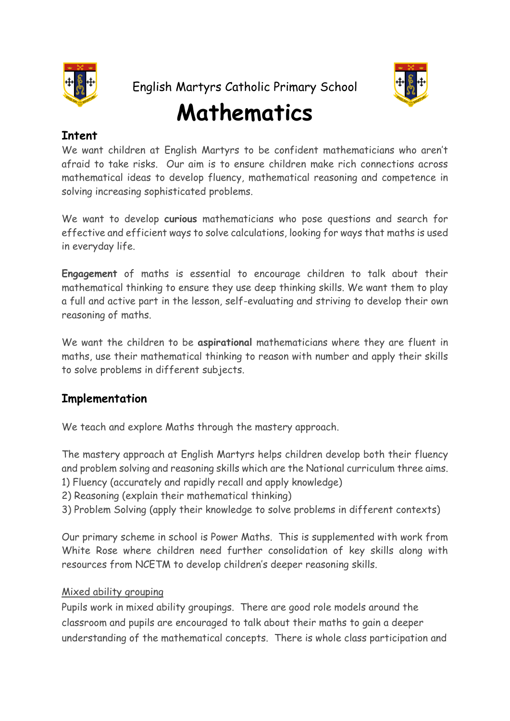

English Martyrs Catholic Primary School

# **Mathematics**

# **Intent**

We want children at English Martyrs to be confident mathematicians who aren't afraid to take risks. Our aim is to ensure children make rich connections across mathematical ideas to develop fluency, mathematical reasoning and competence in solving increasing sophisticated problems.

We want to develop **curious** mathematicians who pose questions and search for effective and efficient ways to solve calculations, looking for ways that maths is used in everyday life.

**Engagement** of maths is essential to encourage children to talk about their mathematical thinking to ensure they use deep thinking skills. We want them to play a full and active part in the lesson, self-evaluating and striving to develop their own reasoning of maths.

We want the children to be **aspirational** mathematicians where they are fluent in maths, use their mathematical thinking to reason with number and apply their skills to solve problems in different subjects.

## **Implementation**

We teach and explore Maths through the mastery approach.

The mastery approach at English Martyrs helps children develop both their fluency and problem solving and reasoning skills which are the National curriculum three aims. 1) Fluency (accurately and rapidly recall and apply knowledge)

- 2) Reasoning (explain their mathematical thinking)
- 3) Problem Solving (apply their knowledge to solve problems in different contexts)

Our primary scheme in school is Power Maths. This is supplemented with work from White Rose where children need further consolidation of key skills along with resources from NCETM to develop children's deeper reasoning skills.

#### Mixed ability grouping

Pupils work in mixed ability groupings. There are good role models around the classroom and pupils are encouraged to talk about their maths to gain a deeper understanding of the mathematical concepts. There is whole class participation and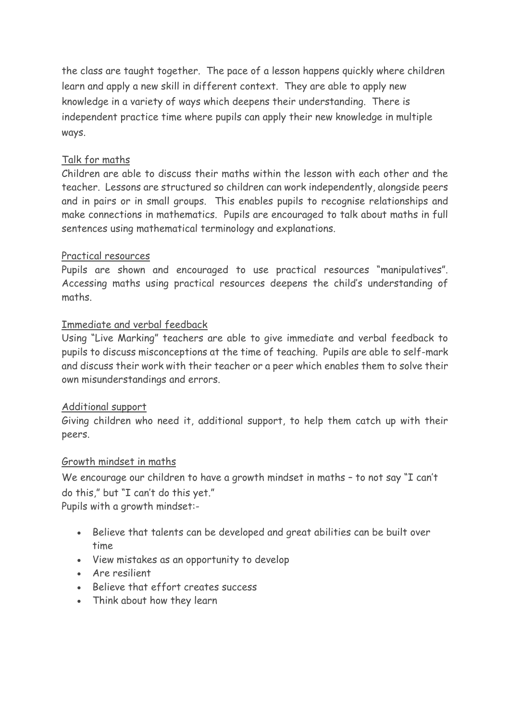the class are taught together. The pace of a lesson happens quickly where children learn and apply a new skill in different context. They are able to apply new knowledge in a variety of ways which deepens their understanding. There is independent practice time where pupils can apply their new knowledge in multiple ways.

### Talk for maths

Children are able to discuss their maths within the lesson with each other and the teacher. Lessons are structured so children can work independently, alongside peers and in pairs or in small groups. This enables pupils to recognise relationships and make connections in mathematics. Pupils are encouraged to talk about maths in full sentences using mathematical terminology and explanations.

#### Practical resources

Pupils are shown and encouraged to use practical resources "manipulatives". Accessing maths using practical resources deepens the child's understanding of maths.

#### Immediate and verbal feedback

Using "Live Marking" teachers are able to give immediate and verbal feedback to pupils to discuss misconceptions at the time of teaching. Pupils are able to self-mark and discuss their work with their teacher or a peer which enables them to solve their own misunderstandings and errors.

#### Additional support

Giving children who need it, additional support, to help them catch up with their peers.

#### Growth mindset in maths

We encourage our children to have a growth mindset in maths - to not say "I can't do this," but "I can't do this yet."

Pupils with a growth mindset:-

- Believe that talents can be developed and great abilities can be built over time
- View mistakes as an opportunity to develop
- Are resilient
- Believe that effort creates success
- Think about how they learn